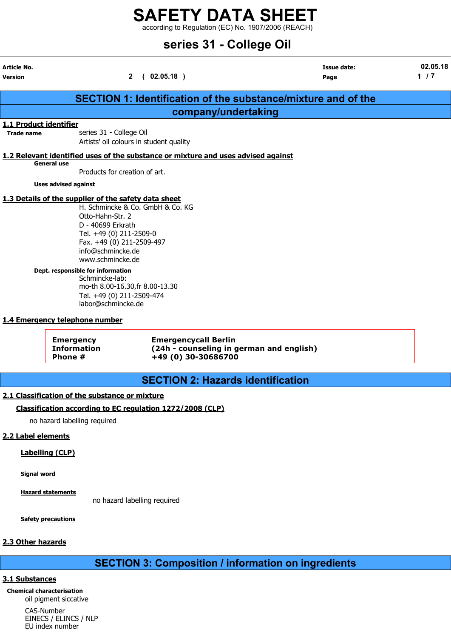according to Regulation (EC) No. 1907/2006 (REACH)

## series 31 - College Oil

|                                             |                                                                                                                                          |                                                                                   | series 31 - College Oil                                              |                   |
|---------------------------------------------|------------------------------------------------------------------------------------------------------------------------------------------|-----------------------------------------------------------------------------------|----------------------------------------------------------------------|-------------------|
| Article No.<br>Version                      |                                                                                                                                          | (02.05.18)<br>$\mathbf{2}$                                                        | <b>Issue date:</b><br>Page                                           | 02.05.18<br>$1/7$ |
|                                             |                                                                                                                                          |                                                                                   | <b>SECTION 1: Identification of the substance/mixture and of the</b> |                   |
|                                             |                                                                                                                                          |                                                                                   | company/undertaking                                                  |                   |
| 1.1 Product identifier<br><b>Trade name</b> | series 31 - College Oil                                                                                                                  | Artists' oil colours in student quality                                           |                                                                      |                   |
|                                             |                                                                                                                                          | 1.2 Relevant identified uses of the substance or mixture and uses advised against |                                                                      |                   |
| <b>General use</b>                          | Products for creation of art.                                                                                                            |                                                                                   |                                                                      |                   |
|                                             | <b>Uses advised against</b>                                                                                                              |                                                                                   |                                                                      |                   |
|                                             | 1.3 Details of the supplier of the safety data sheet                                                                                     |                                                                                   |                                                                      |                   |
|                                             | Otto-Hahn-Str. 2<br>D - 40699 Erkrath<br>Tel. +49 (0) 211-2509-0<br>Fax. +49 (0) 211-2509-497<br>info@schmincke.de<br>www.schmincke.de   | H. Schmincke & Co. GmbH & Co. KG                                                  |                                                                      |                   |
|                                             | Dept. responsible for information<br>Schmincke-lab:<br>Tel. +49 (0) 211-2509-474<br>labor@schmincke.de<br>1.4 Emergency telephone number | mo-th 8.00-16.30, fr 8.00-13.30                                                   |                                                                      |                   |
|                                             |                                                                                                                                          |                                                                                   |                                                                      |                   |
|                                             | <b>Emergency</b><br><b>Information</b><br>Phone #                                                                                        | <b>Emergencycall Berlin</b><br>+49 (0) 30-30686700                                | (24h - counseling in german and english)                             |                   |
|                                             |                                                                                                                                          |                                                                                   | <b>SECTION 2: Hazards identification</b>                             |                   |
|                                             | 2.1 Classification of the substance or mixture                                                                                           |                                                                                   |                                                                      |                   |

## Classification according to EC regulation 1272/2008 (CLP)

no hazard labelling required

## 2.2 Label elements

Ļ

## Labelling (CLP)

Signal word

Hazard statements

no hazard labelling required

**Safety precautions** 

## 2.3 Other hazards

## SECTION 3: Composition / information on ingredients

## 3.1 Substances

Chemical characterisation oil pigment siccative

> CAS-Number EINECS / ELINCS / NLP EU index number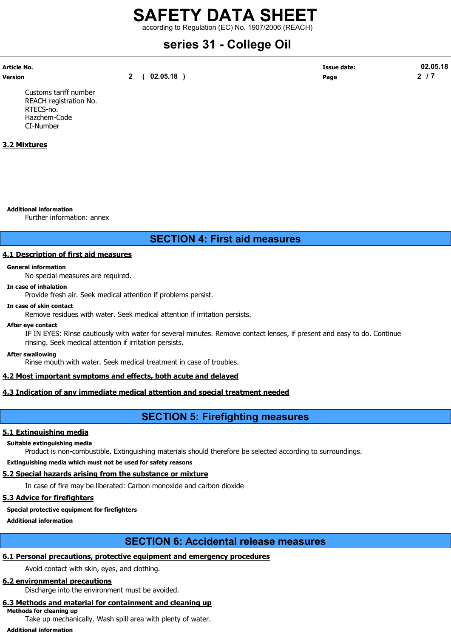according to Regulation (EC) No. 1907/2006 (REACH)

# series 31 - College Oil

| Article No. |          | Issue date: | 02.05.18 |
|-------------|----------|-------------|----------|
| Version     | 02.05.18 | Page        |          |

Customs tariff number REACH registration No. RTECS-no. Hazchem-Code CI-Number

## 3.2 Mixtures

#### Additional information

Further information: annex

## SECTION 4: First aid measures

## 4.1 Description of first aid measures

#### General information

No special measures are required.

#### In case of inhalation

Provide fresh air. Seek medical attention if problems persist.

#### In case of skin contact

Remove residues with water. Seek medical attention if irritation persists.

#### After eye contact

IF IN EYES: Rinse cautiously with water for several minutes. Remove contact lenses, if present and easy to do. Continue rinsing. Seek medical attention if irritation persists.

#### After swallowing

Rinse mouth with water. Seek medical treatment in case of troubles.

## 4.2 Most important symptoms and effects, both acute and delayed

## 4.3 Indication of any immediate medical attention and special treatment needed

## SECTION 5: Firefighting measures

## 5.1 Extinguishing media

## Suitable extinguishing media

Product is non-combustible. Extinguishing materials should therefore be selected according to surroundings.

Extinguishing media which must not be used for safety reasons

## 5.2 Special hazards arising from the substance or mixture

In case of fire may be liberated: Carbon monoxide and carbon dioxide

## 5.3 Advice for firefighters

## Special protective equipment for firefighters

Additional information

## SECTION 6: Accidental release measures

## 6.1 Personal precautions, protective equipment and emergency procedures

Avoid contact with skin, eyes, and clothing.

## 6.2 environmental precautions

Discharge into the environment must be avoided.

#### 6.3 Methods and material for containment and cleaning up Methods for cleaning up

Take up mechanically. Wash spill area with plenty of water.

## Additional information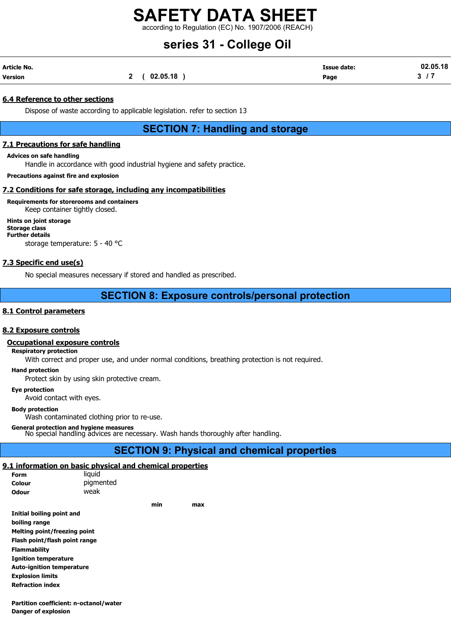according to Regulation (EC) No. 1907/2006 (REACH)

## series 31 - College Oil

| Article No. |              | <b>Issue date:</b> | 02.05.18 |
|-------------|--------------|--------------------|----------|
| Version     | 2 ( 02.05.18 | Page               |          |

## 6.4 Reference to other sections

Dispose of waste according to applicable legislation. refer to section 13

SECTION 7: Handling and storage

## 7.1 Precautions for safe handling

Advices on safe handling

Handle in accordance with good industrial hygiene and safety practice.

Precautions against fire and explosion

## 7.2 Conditions for safe storage, including any incompatibilities

## Requirements for storerooms and containers Keep container tightly closed.

Hints on joint storage Storage class Further details storage temperature: 5 - 40 °C

## 7.3 Specific end use(s)

No special measures necessary if stored and handled as prescribed.

## SECTION 8: Exposure controls/personal protection

## 8.1 Control parameters

## 8.2 Exposure controls

## Occupational exposure controls

### Respiratory protection

With correct and proper use, and under normal conditions, breathing protection is not required.

Hand protection

Protect skin by using skin protective cream.

## Eye protection

Avoid contact with eyes.

#### Body protection

Wash contaminated clothing prior to re-use.

#### General protection and hygiene measures

No special handling advices are necessary. Wash hands thoroughly after handling.

## SECTION 9: Physical and chemical properties

## 9.1 information on basic physical and chemical properties

| Form                             | liquid    |     |     |
|----------------------------------|-----------|-----|-----|
| Colour                           | pigmented |     |     |
| Odour                            | weak      |     |     |
|                                  |           | min | max |
| Initial boiling point and        |           |     |     |
| boiling range                    |           |     |     |
| Melting point/freezing point     |           |     |     |
| Flash point/flash point range    |           |     |     |
| <b>Flammability</b>              |           |     |     |
| <b>Ignition temperature</b>      |           |     |     |
| <b>Auto-ignition temperature</b> |           |     |     |
| <b>Explosion limits</b>          |           |     |     |
| <b>Refraction index</b>          |           |     |     |
|                                  |           |     |     |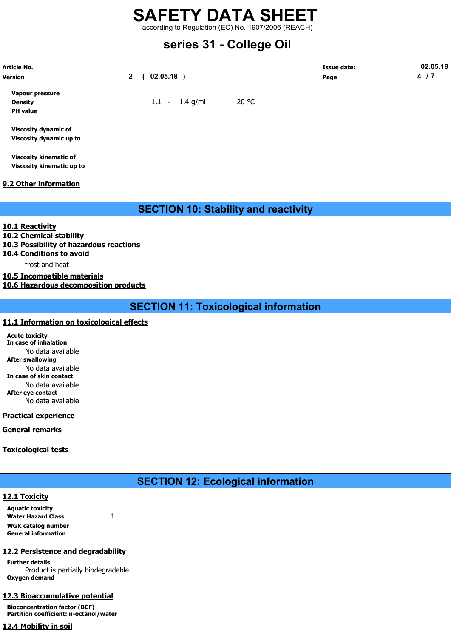according to Regulation (EC) No. 1907/2006 (REACH)

## series 31 - College Oil

| <b>Article No.</b><br><b>Version</b>                   | $02.05.18$ )<br>$\mathbf{2}$ |       | <b>Issue date:</b><br>Page | 02.05.18<br>4/7 |
|--------------------------------------------------------|------------------------------|-------|----------------------------|-----------------|
| Vapour pressure<br><b>Density</b><br><b>PH</b> value   | $1,1 - 1,4$ g/ml             | 20 °C |                            |                 |
| <b>Viscosity dynamic of</b><br>Viscosity dynamic up to |                              |       |                            |                 |

Viscosity kinematic of Viscosity kinematic up to

## 9.2 Other information

SECTION 10: Stability and reactivity

10.1 Reactivity

10.2 Chemical stability 10.3 Possibility of hazardous reactions

10.4 Conditions to avoid

frost and heat

10.5 Incompatible materials

10.6 Hazardous decomposition products

SECTION 11: Toxicological information

## 11.1 Information on toxicological effects

Acute toxicity In case of inhalation No data available After swallowing No data available In case of skin contact No data available After eye contact No data available

## Practical experience

General remarks

## Toxicological tests

## SECTION 12: Ecological information

## 12.1 Toxicity

Aquatic toxicity Water Hazard Class 1 WGK catalog number General information

## 12.2 Persistence and degradability

Further details Product is partially biodegradable. Oxygen demand

## 12.3 Bioaccumulative potential

Bioconcentration factor (BCF) Partition coefficient: n-octanol/water

## 12.4 Mobility in soil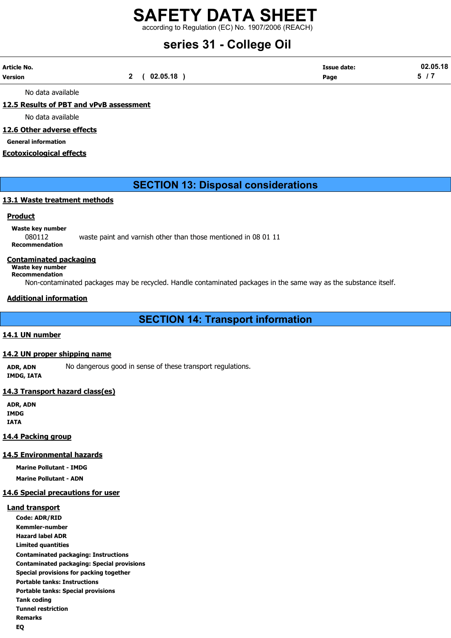according to Regulation (EC) No. 1907/2006 (REACH)

# series 31 - College Oil

| Article No. |              | <b>Issue date:</b> | 02.05.18 |
|-------------|--------------|--------------------|----------|
| Version     | 2 ( 02.05.18 | Page               |          |

No data available

## 12.5 Results of PBT and vPvB assessment

No data available

## 12.6 Other adverse effects

General information

## Ecotoxicological effects

## SECTION 13: Disposal considerations

## 13.1 Waste treatment methods

## **Product**

Waste key number 080112 waste paint and varnish other than those mentioned in 08 01 11 Recommendation

#### Contaminated packaging

Waste key number Recommendation

Non-contaminated packages may be recycled. Handle contaminated packages in the same way as the substance itself.

## Additional information

## SECTION 14: Transport information

## 14.1 UN number

#### 14.2 UN proper shipping name

ADR, ADN No dangerous good in sense of these transport regulations. IMDG, IATA

## 14.3 Transport hazard class(es)

ADR, ADN **IMDG** IATA

## 14.4 Packing group

## 14.5 Environmental hazards

Marine Pollutant - IMDG Marine Pollutant - ADN

#### 14.6 Special precautions for user

#### Land transport

Code: ADR/RID Kemmler-number Hazard label ADR Limited quantities Contaminated packaging: Instructions Contaminated packaging: Special provisions Special provisions for packing together Portable tanks: Instructions Portable tanks: Special provisions Tank coding Tunnel restriction Remarks EQ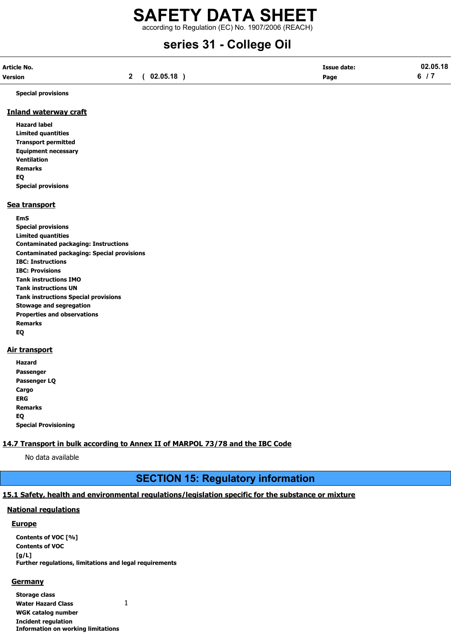according to Regulation (EC) No. 1907/2006 (REACH)

# series 31 - College Oil

| Article No. |                  | <b>Issue date:</b> | 02.05.18 |
|-------------|------------------|--------------------|----------|
| Version     | 2(02.05.18)<br>- | Page               |          |

Special provisions

## Inland waterway craft

Hazard label Limited quantities Transport permitted Equipment necessary Ventilation Remarks EQ Special provisions

## Sea transport

EmS Special provisions Limited quantities Contaminated packaging: Instructions Contaminated packaging: Special provisions IBC: Instructions IBC: Provisions Tank instructions IMO Tank instructions UN Tank instructions Special provisions Stowage and segregation Properties and observations Remarks EQ

## **Air transport**

| Hazard                      |
|-----------------------------|
| Passenger                   |
| Passenger LQ                |
| Cargo                       |
| ERG                         |
| <b>Remarks</b>              |
| EO                          |
| <b>Special Provisioning</b> |

## 14.7 Transport in bulk according to Annex II of MARPOL 73/78 and the IBC Code

No data available

## SECTION 15: Regulatory information

## 15.1 Safety, health and environmental regulations/legislation specific for the substance or mixture

## National regulations

#### **Europe**

Contents of VOC [%] Contents of VOC  $[a/L]$ Further regulations, limitations and legal requirements

#### **Germany**

Storage class Water Hazard Class 1 WGK catalog number Incident regulation Information on working limitations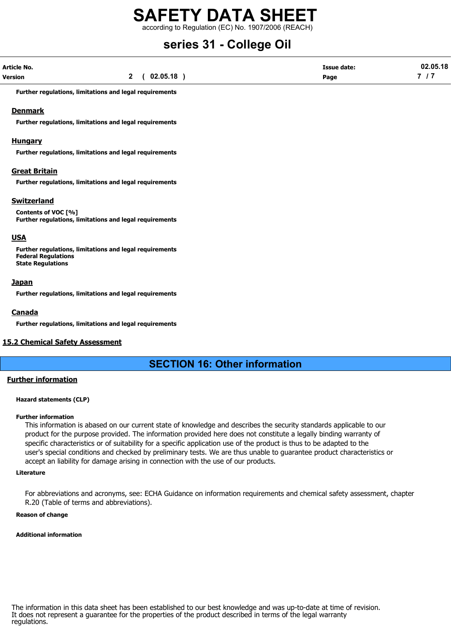according to Regulation (EC) No. 1907/2006 (REACH)

## series 31 - College Oil

| <b>Article No.</b> |          | <b>Issue date:</b> | 02.05.18 |
|--------------------|----------|--------------------|----------|
| <b>Version</b>     | 02.05.18 | Page               | -        |

Further regulations, limitations and legal requirements

## Denmark

Further regulations, limitations and legal requirements

### Hungary

Further regulations, limitations and legal requirements

## Great Britain

Further regulations, limitations and legal requirements

## **Switzerland**

Contents of VOC [%] Further regulations, limitations and legal requirements

## USA

Further regulations, limitations and legal requirements Federal Regulations State Regulations

## **Japan**

Further regulations, limitations and legal requirements

## Canada

Further regulations, limitations and legal requirements

## 15.2 Chemical Safety Assessment

## SECTION 16: Other information

## Further information

#### Hazard statements (CLP)

#### Further information

This information is abased on our current state of knowledge and describes the security standards applicable to our product for the purpose provided. The information provided here does not constitute a legally binding warranty of specific characteristics or of suitability for a specific application use of the product is thus to be adapted to the user's special conditions and checked by preliminary tests. We are thus unable to guarantee product characteristics or accept an liability for damage arising in connection with the use of our products.

### Literature

For abbreviations and acronyms, see: ECHA Guidance on information requirements and chemical safety assessment, chapter R.20 (Table of terms and abbreviations).

### Reason of change

#### Additional information

The information in this data sheet has been established to our best knowledge and was up-to-date at time of revision. It does not represent a guarantee for the properties of the product described in terms of the legal warranty regulations.